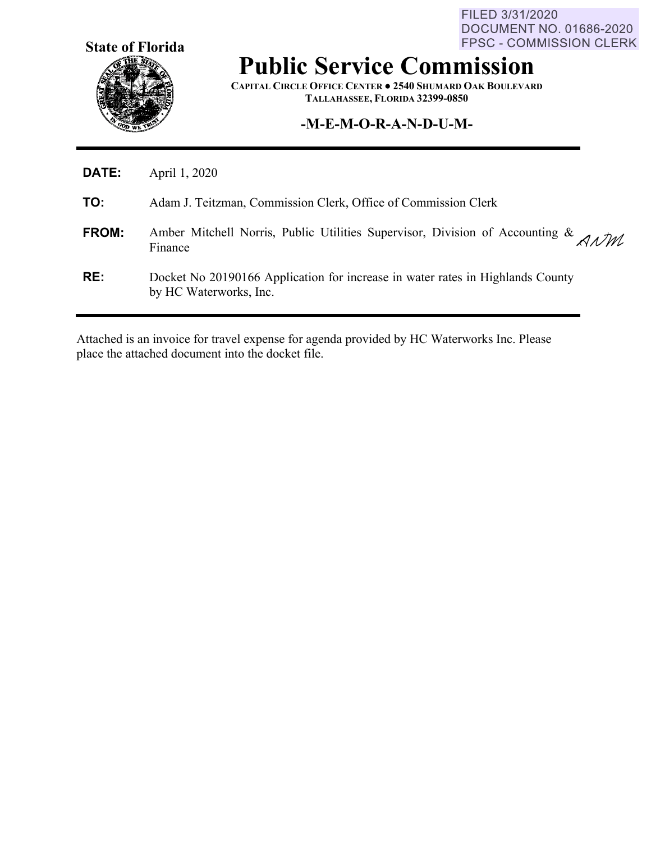**State of Florida**

FILED 3/31/2020 **DOCUMENT NO. 01686-2020** FPSC - COMMISSION CLERK

# **Public Service Commission**

**CAPITAL CIRCLE OFFICE CENTER ● 2540 SHUMARD OAK BOULEVARD TALLAHASSEE, FLORIDA 32399-0850**

#### **-M-E-M-O-R-A-N-D-U-M-**

| DATE:        | April 1, 2020                                                                                            |
|--------------|----------------------------------------------------------------------------------------------------------|
| TO:          | Adam J. Teitzman, Commission Clerk, Office of Commission Clerk                                           |
| <b>FROM:</b> | Amber Mitchell Norris, Public Utilities Supervisor, Division of Accounting & $AMM$<br>Finance            |
| RE:          | Docket No 20190166 Application for increase in water rates in Highlands County<br>by HC Waterworks, Inc. |

Attached is an invoice for travel expense for agenda provided by HC Waterworks Inc. Please place the attached document into the docket file.